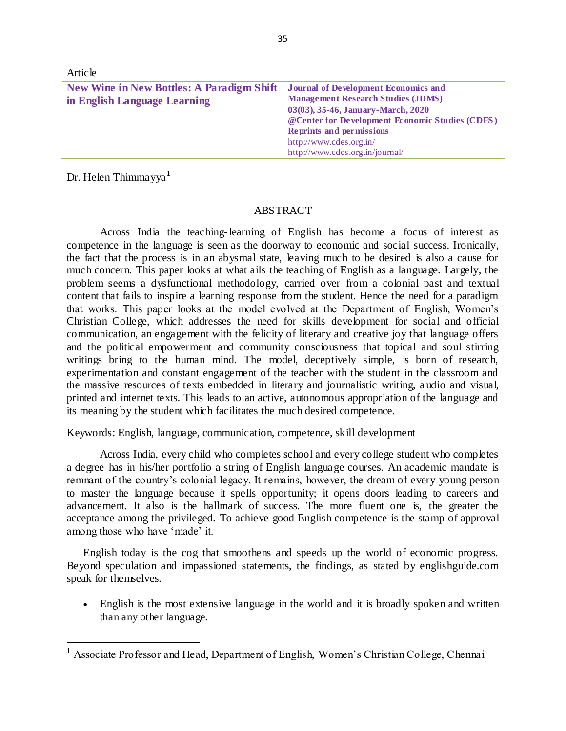| $\lambda$ MUVIV                                  |                                                 |
|--------------------------------------------------|-------------------------------------------------|
| <b>New Wine in New Bottles: A Paradigm Shift</b> | <b>Journal of Development Economics and</b>     |
| in English Language Learning                     | <b>Management Research Studies (JDMS)</b>       |
|                                                  | 03(03), 35-46, January-March, 2020              |
|                                                  | @Center for Development Economic Studies (CDES) |
|                                                  | <b>Reprints and permissions</b>                 |
|                                                  | http://www.cdes.org.in/                         |
|                                                  | http://www.cdes.org.in/journal/                 |

Dr. Helen Thimmayya**<sup>1</sup>**

Article

 $\ddot{\phantom{a}}$ 

#### **ABSTRACT**

Across India the teaching-learning of English has become a focus of interest as competence in the language is seen as the doorway to economic and social success. Ironically, the fact that the process is in an abysmal state, leaving much to be desired is also a cause for much concern. This paper looks at what ails the teaching of English as a language. Largely, the problem seems a dysfunctional methodology, carried over from a colonial past and textual content that fails to inspire a learning response from the student. Hence the need for a paradigm that works. This paper looks at the model evolved at the Department of English, Women's Christian College, which addresses the need for skills development for social and official communication, an engagement with the felicity of literary and creative joy that language offers and the political empowerment and community consciousness that topical and soul stirring writings bring to the human mind. The model, deceptively simple, is born of research, experimentation and constant engagement of the teacher with the student in the classroom and the massive resources of texts embedded in literary and journalistic writing, a udio and visual, printed and internet texts. This leads to an active, autonomous appropriation of the language and its meaning by the student which facilitates the much desired competence.

Keywords: English, language, communication, competence, skill development

Across India, every child who completes school and every college student who completes a degree has in his/her portfolio a string of English language courses. An academic mandate is remnant of the country's colonial legacy. It remains, however, the dream of every young person to master the language because it spells opportunity; it opens doors leading to careers and advancement. It also is the hallmark of success. The more fluent one is, the greater the acceptance among the privileged. To achieve good English competence is the stamp of approval among those who have 'made' it.

English today is the cog that smoothens and speeds up the world of economic progress. Beyond speculation and impassioned statements, the findings, as stated by englishguide.com speak for themselves.

 English is the most extensive language in the world and it is broadly spoken and written than any other language.

<sup>&</sup>lt;sup>1</sup> Associate Professor and Head, Department of English, Women's Christian College, Chennai.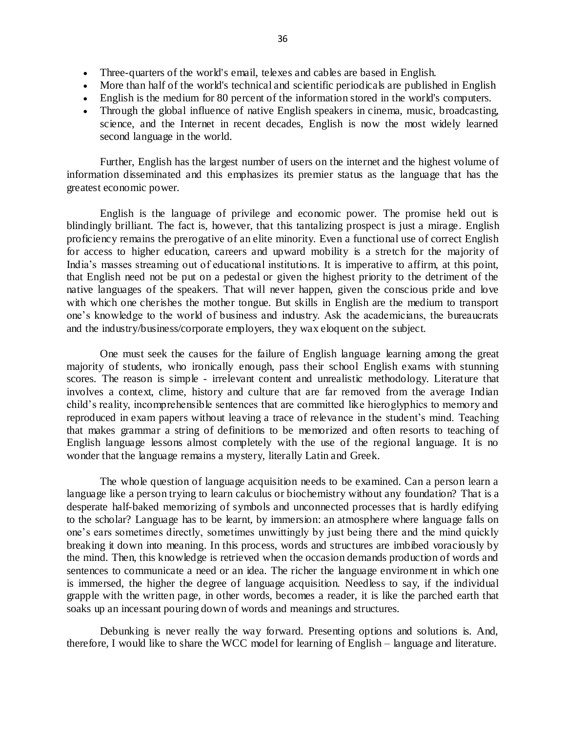- Three-quarters of the world's email, telexes and cables are based in English.
- More than half of the world's technical and scientific periodicals are published in English
- English is the medium for 80 percent of the information stored in the world's computers.
- Through the global influence of native English speakers in cinema, music, broadcasting, science, and the Internet in recent decades, English is now the most widely learned second language in the world.

Further, English has the largest number of users on the internet and the highest volume of information disseminated and this emphasizes its premier status as the language that has the greatest economic power.

English is the language of privilege and economic power. The promise held out is blindingly brilliant. The fact is, however, that this tantalizing prospect is just a mirage. English proficiency remains the prerogative of an elite minority. Even a functional use of correct English for access to higher education, careers and upward mobility is a stretch for the majority of India's masses streaming out of educational institutions. It is imperative to affirm, at this point, that English need not be put on a pedestal or given the highest priority to the detriment of the native languages of the speakers. That will never happen, given the conscious pride and love with which one cherishes the mother tongue. But skills in English are the medium to transport one's knowledge to the world of business and industry. Ask the academicians, the bureaucrats and the industry/business/corporate employers, they wax eloquent on the subject.

One must seek the causes for the failure of English language learning among the great majority of students, who ironically enough, pass their school English exams with stunning scores. The reason is simple - irrelevant content and unrealistic methodology. Literature that involves a context, clime, history and culture that are far removed from the average Indian child's reality, incomprehensible sentences that are committed like hieroglyphics to memory and reproduced in exam papers without leaving a trace of relevance in the student's mind. Teaching that makes grammar a string of definitions to be memorized and often resorts to teaching of English language lessons almost completely with the use of the regional language. It is no wonder that the language remains a mystery, literally Latin and Greek.

The whole question of language acquisition needs to be examined. Can a person learn a language like a person trying to learn calculus or biochemistry without any foundation? That is a desperate half-baked memorizing of symbols and unconnected processes that is hardly edifying to the scholar? Language has to be learnt, by immersion: an atmosphere where language falls on one's ears sometimes directly, sometimes unwittingly by just being there and the mind quickly breaking it down into meaning. In this process, words and structures are imbibed voraciously by the mind. Then, this knowledge is retrieved when the occasion demands production of words and sentences to communicate a need or an idea. The richer the language environme nt in which one is immersed, the higher the degree of language acquisition. Needless to say, if the individual grapple with the written page, in other words, becomes a reader, it is like the parched earth that soaks up an incessant pouring down of words and meanings and structures.

Debunking is never really the way forward. Presenting options and solutions is. And, therefore, I would like to share the WCC model for learning of English – language and literature.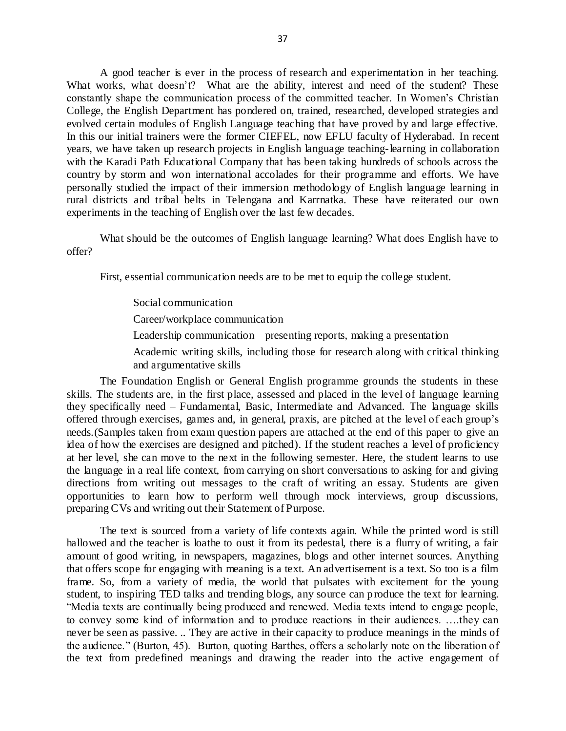A good teacher is ever in the process of research and experimentation in her teaching. What works, what doesn't? What are the ability, interest and need of the student? These constantly shape the communication process of the committed teacher. In Women's Christian College, the English Department has pondered on, trained, researched, developed strategies and evolved certain modules of English Language teaching that have proved by and large effective. In this our initial trainers were the former CIEFEL, now EFLU faculty of Hyderabad. In recent years, we have taken up research projects in English language teaching-learning in collaboration with the Karadi Path Educational Company that has been taking hundreds of schools across the country by storm and won international accolades for their programme and efforts. We have personally studied the impact of their immersion methodology of English language learning in rural districts and tribal belts in Telengana and Karrnatka. These have reiterated our own experiments in the teaching of English over the last few decades.

What should be the outcomes of English language learning? What does English have to offer?

First, essential communication needs are to be met to equip the college student.

Social communication

Career/workplace communication

Leadership communication – presenting reports, making a presentation

Academic writing skills, including those for research along with critical thinking and argumentative skills

The Foundation English or General English programme grounds the students in these skills. The students are, in the first place, assessed and placed in the level of language learning they specifically need – Fundamental, Basic, Intermediate and Advanced. The language skills offered through exercises, games and, in general, praxis, are pitched at the level of each group's needs.(Samples taken from exam question papers are attached at the end of this paper to give an idea of how the exercises are designed and pitched). If the student reaches a level of proficiency at her level, she can move to the next in the following semester. Here, the student learns to use the language in a real life context, from carrying on short conversations to asking for and giving directions from writing out messages to the craft of writing an essay. Students are given opportunities to learn how to perform well through mock interviews, group discussions, preparing CVs and writing out their Statement of Purpose.

The text is sourced from a variety of life contexts again. While the printed word is still hallowed and the teacher is loathe to oust it from its pedestal, there is a flurry of writing, a fair amount of good writing, in newspapers, magazines, blogs and other internet sources. Anything that offers scope for engaging with meaning is a text. An advertisement is a text. So too is a film frame. So, from a variety of media, the world that pulsates with excitement for the young student, to inspiring TED talks and trending blogs, any source can produce the text for learning. "Media texts are continually being produced and renewed. Media texts intend to engage people, to convey some kind of information and to produce reactions in their audiences. ….they can never be seen as passive. .. They are active in their capacity to produce meanings in the minds of the audience." (Burton, 45). Burton, quoting Barthes, offers a scholarly note on the liberation of the text from predefined meanings and drawing the reader into the active engagement of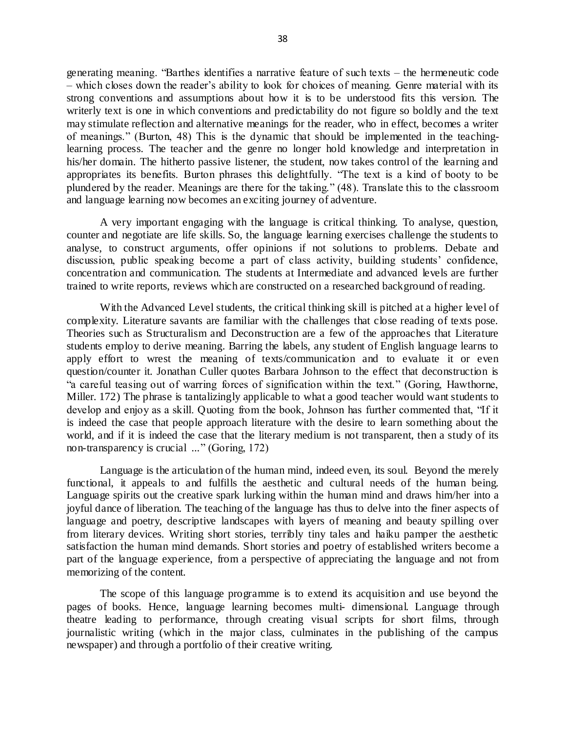generating meaning. "Barthes identifies a narrative feature of such texts – the hermeneutic code – which closes down the reader's ability to look for choices of meaning. Genre material with its strong conventions and assumptions about how it is to be understood fits this version. The writerly text is one in which conventions and predictability do not figure so boldly and the text may stimulate reflection and alternative meanings for the reader, who in effect, becomes a writer of meanings." (Burton, 48) This is the dynamic that should be implemented in the teachinglearning process. The teacher and the genre no longer hold knowledge and interpretation in his/her domain. The hitherto passive listener, the student, now takes control of the learning and appropriates its benefits. Burton phrases this delightfully. "The text is a kind of booty to be plundered by the reader. Meanings are there for the taking." (48). Translate this to the classroom and language learning now becomes an exciting journey of adventure.

A very important engaging with the language is critical thinking. To analyse, question, counter and negotiate are life skills. So, the language learning exercises challenge the students to analyse, to construct arguments, offer opinions if not solutions to problems. Debate and discussion, public speaking become a part of class activity, building students' confidence, concentration and communication. The students at Intermediate and advanced levels are further trained to write reports, reviews which are constructed on a researched background of reading.

With the Advanced Level students, the critical thinking skill is pitched at a higher level of complexity. Literature savants are familiar with the challenges that close reading of texts pose. Theories such as Structuralism and Deconstruction are a few of the approaches that Literature students employ to derive meaning. Barring the labels, any student of English language learns to apply effort to wrest the meaning of texts/communication and to evaluate it or even question/counter it. Jonathan Culler quotes Barbara Johnson to the effect that deconstruction is "a careful teasing out of warring forces of signification within the text." (Goring, Hawthorne, Miller. 172) The phrase is tantalizingly applicable to what a good teacher would want students to develop and enjoy as a skill. Quoting from the book, Johnson has further commented that, "If it is indeed the case that people approach literature with the desire to learn something about the world, and if it is indeed the case that the literary medium is not transparent, then a study of its non-transparency is crucial ..." (Goring, 172)

Language is the articulation of the human mind, indeed even, its soul. Beyond the merely functional, it appeals to and fulfills the aesthetic and cultural needs of the human being. Language spirits out the creative spark lurking within the human mind and draws him/her into a joyful dance of liberation. The teaching of the language has thus to delve into the finer aspects of language and poetry, descriptive landscapes with layers of meaning and beauty spilling over from literary devices. Writing short stories, terribly tiny tales and haiku pamper the aesthetic satisfaction the human mind demands. Short stories and poetry of established writers become a part of the language experience, from a perspective of appreciating the language and not from memorizing of the content.

The scope of this language programme is to extend its acquisition and use beyond the pages of books. Hence, language learning becomes multi- dimensional. Language through theatre leading to performance, through creating visual scripts for short films, through journalistic writing (which in the major class, culminates in the publishing of the campus newspaper) and through a portfolio of their creative writing.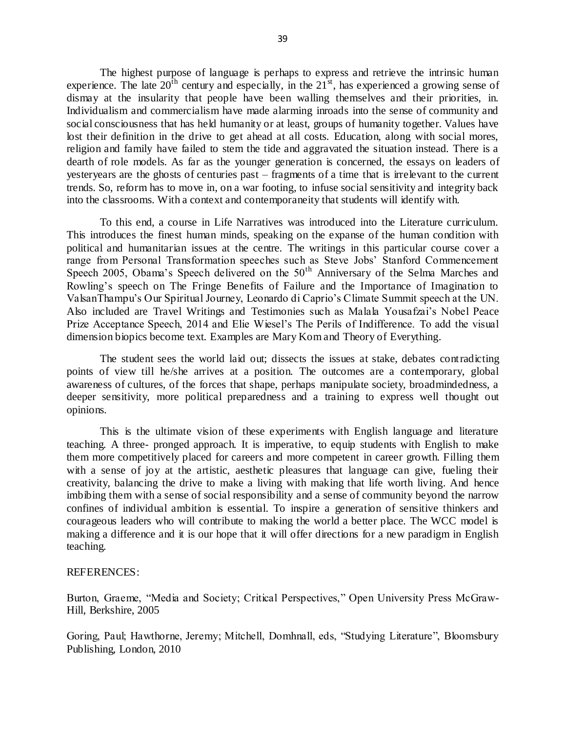The highest purpose of language is perhaps to express and retrieve the intrinsic human experience. The late  $20^{th}$  century and especially, in the  $21^{st}$ , has experienced a growing sense of dismay at the insularity that people have been walling themselves and their priorities, in. Individualism and commercialism have made alarming inroads into the sense of community and social consciousness that has held humanity or at least, groups of humanity together. Values have lost their definition in the drive to get ahead at all costs. Education, along with social mores, religion and family have failed to stem the tide and aggravated the situation instead. There is a dearth of role models. As far as the younger generation is concerned, the essays on leaders of yesteryears are the ghosts of centuries past – fragments of a time that is irrelevant to the current trends. So, reform has to move in, on a war footing, to infuse social sensitivity and integrity back into the classrooms. With a context and contemporaneity that students will identify with.

To this end, a course in Life Narratives was introduced into the Literature curriculum. This introduces the finest human minds, speaking on the expanse of the human condition with political and humanitarian issues at the centre. The writings in this particular course cover a range from Personal Transformation speeches such as Steve Jobs' Stanford Commencement Speech 2005, Obama's Speech delivered on the 50<sup>th</sup> Anniversary of the Selma Marches and Rowling's speech on The Fringe Benefits of Failure and the Importance of Imagination to ValsanThampu's Our Spiritual Journey, Leonardo di Caprio's Climate Summit speech at the UN. Also included are Travel Writings and Testimonies such as Malala Yousafzai's Nobel Peace Prize Acceptance Speech, 2014 and Elie Wiesel's The Perils of Indifference. To add the visual dimension biopics become text. Examples are Mary Kom and Theory of Everything.

The student sees the world laid out; dissects the issues at stake, debates contradicting points of view till he/she arrives at a position. The outcomes are a contemporary, global awareness of cultures, of the forces that shape, perhaps manipulate society, broadmindedness, a deeper sensitivity, more political preparedness and a training to express well thought out opinions.

This is the ultimate vision of these experiments with English language and literature teaching. A three- pronged approach. It is imperative, to equip students with English to make them more competitively placed for careers and more competent in career growth. Filling them with a sense of joy at the artistic, aesthetic pleasures that language can give, fueling their creativity, balancing the drive to make a living with making that life worth living. And hence imbibing them with a sense of social responsibility and a sense of community beyond the narrow confines of individual ambition is essential. To inspire a generation of sensitive thinkers and courageous leaders who will contribute to making the world a better place. The WCC model is making a difference and it is our hope that it will offer directions for a new paradigm in English teaching.

#### REFERENCES:

Burton, Graeme, "Media and Society; Critical Perspectives," Open University Press McGraw-Hill, Berkshire, 2005

Goring, Paul; Hawthorne, Jeremy; Mitchell, Domhnall, eds, "Studying Literature", Bloomsbury Publishing, London, 2010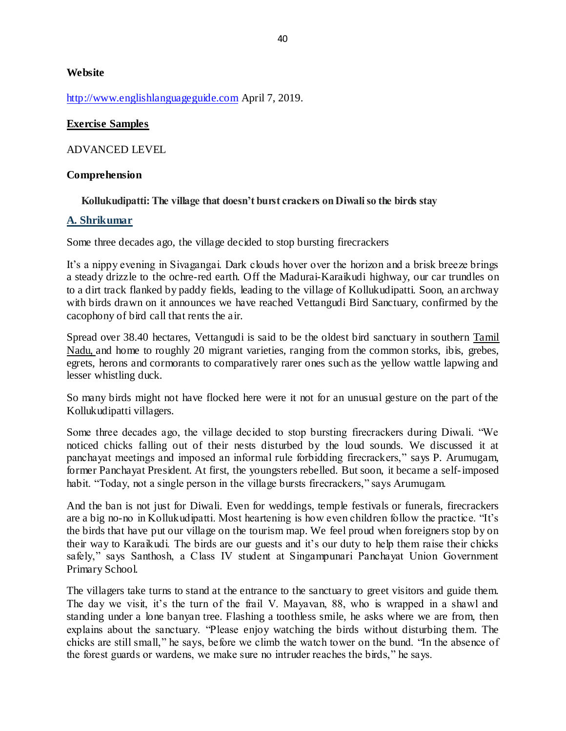### **Website**

[http://www.englishlanguageguide.com](http://www.englishlanguageguide.com/) April 7, 2019.

### **Exercise Samples**

ADVANCED LEVEL

### **Comprehension**

### **Kollukudipatti: The village that doesn't burst crackers on Diwali so the birds stay**

### **[A. Shrikumar](https://www.thehindu.com/profile/author/A-Shrikumar-532/)**

Some three decades ago, the village decided to stop bursting firecrackers

It's a nippy evening in Sivagangai. Dark clouds hover over the horizon and a brisk breeze brings a steady drizzle to the ochre-red earth. Off the Madurai-Karaikudi highway, our car trundles on to a dirt track flanked by paddy fields, leading to the village of Kollukudipatti. Soon, an archway with birds drawn on it announces we have reached Vettangudi Bird Sanctuary, confirmed by the cacophony of bird call that rents the air.

Spread over 38.40 hectares, Vettangudi is said to be the oldest bird sanctuary in southern [Tamil](https://www.thehindu.com/tag/204-81/tamil-nadu/?utm=bodytag)  [Nadu,](https://www.thehindu.com/tag/204-81/tamil-nadu/?utm=bodytag) and home to roughly 20 migrant varieties, ranging from the common storks, ibis, grebes, egrets, herons and cormorants to comparatively rarer ones such as the yellow wattle lapwing and lesser whistling duck.

So many birds might not have flocked here were it not for an unusual gesture on the part of the Kollukudipatti villagers.

Some three decades ago, the village decided to stop bursting firecrackers during Diwali. "We noticed chicks falling out of their nests disturbed by the loud sounds. We discussed it at panchayat meetings and imposed an informal rule forbidding firecrackers," says P. Arumugam, former Panchayat President. At first, the youngsters rebelled. But soon, it became a self-imposed habit. "Today, not a single person in the village bursts firecrackers," says Arumugam.

And the ban is not just for Diwali. Even for weddings, temple festivals or funerals, firecrackers are a big no-no in Kollukudipatti. Most heartening is how even children follow the practice. "It's the birds that have put our village on the tourism map. We feel proud when foreigners stop by on their way to Karaikudi. The birds are our guests and it's our duty to help them raise their chicks safely," says Santhosh, a Class IV student at Singampunari Panchayat Union Government Primary School.

The villagers take turns to stand at the entrance to the sanctuary to greet visitors and guide them. The day we visit, it's the turn of the frail V. Mayavan, 88, who is wrapped in a shawl and standing under a lone banyan tree. Flashing a toothless smile, he asks where we are from, then explains about the sanctuary. "Please enjoy watching the birds without disturbing them. The chicks are still small," he says, before we climb the watch tower on the bund. "In the absence of the forest guards or wardens, we make sure no intruder reaches the birds," he says.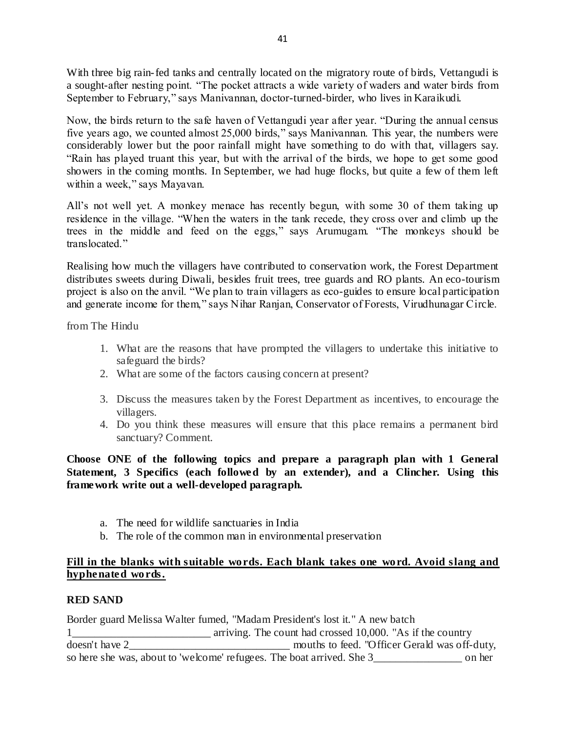With three big rain-fed tanks and centrally located on the migratory route of birds, Vettangudi is a sought-after nesting point. "The pocket attracts a wide variety of waders and water birds from September to February," says Manivannan, doctor-turned-birder, who lives in Karaikudi.

Now, the birds return to the safe haven of Vettangudi year after year. "During the annual census five years ago, we counted almost 25,000 birds," says Manivannan. This year, the numbers were considerably lower but the poor rainfall might have something to do with that, villagers say. "Rain has played truant this year, but with the arrival of the birds, we hope to get some good showers in the coming months. In September, we had huge flocks, but quite a few of them left within a week," says Mayavan.

All's not well yet. A monkey menace has recently begun, with some 30 of them taking up residence in the village. "When the waters in the tank recede, they cross over and climb up the trees in the middle and feed on the eggs," says Arumugam. "The monkeys should be translocated."

Realising how much the villagers have contributed to conservation work, the Forest Department distributes sweets during Diwali, besides fruit trees, tree guards and RO plants. An eco-tourism project is also on the anvil. "We plan to train villagers as eco-guides to ensure local participation and generate income for them," says Nihar Ranjan, Conservator of Forests, Virudhunagar Circle.

from The Hindu

- 1. What are the reasons that have prompted the villagers to undertake this initiative to safeguard the birds?
- 2. What are some of the factors causing concern at present?
- 3. Discuss the measures taken by the Forest Department as incentives, to encourage the villagers.
- 4. Do you think these measures will ensure that this place remains a permanent bird sanctuary? Comment.

**Choose ONE of the following topics and prepare a paragraph plan with 1 General Statement, 3 Specifics (each followed by an extender), and a Clincher. Using this framework write out a well-developed paragraph.**

- a. The need for wildlife sanctuaries in India
- b. The role of the common man in environmental preservation

## **Fill in the blanks with suitable words. Each blank takes one word. Avoid slang and hyphenated words.**

### **RED SAND**

Border guard Melissa Walter fumed, "Madam President's lost it." A new batch 1<sup>th</sup> 1<sup>th</sup> 10,000. "As if the country arriving. The count had crossed 10,000. "As if the country doesn't have 2\_\_\_\_\_\_\_\_\_\_\_\_\_\_\_\_\_\_\_\_\_\_\_\_\_\_\_\_\_ mouths to feed. "Officer Gerald was off-duty, so here she was, about to 'welcome' refugees. The boat arrived. She 3\_\_\_\_\_\_\_\_\_\_\_\_\_\_\_\_ on her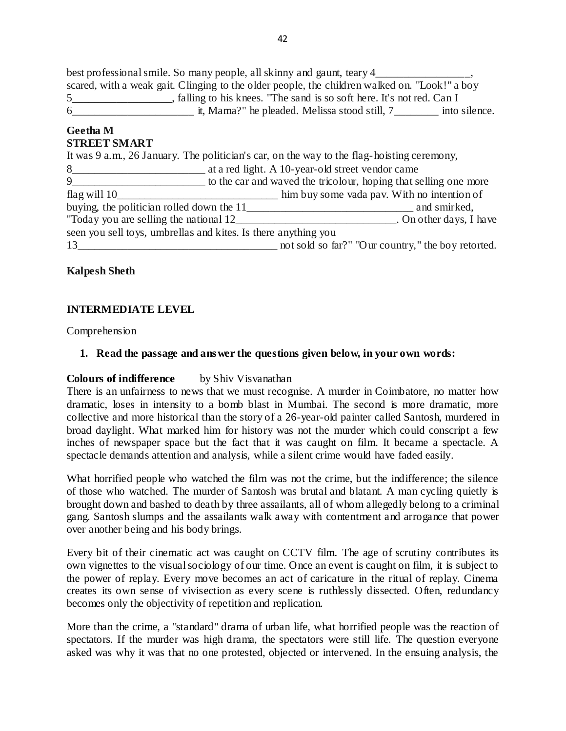best professional smile. So many people, all skinny and gaunt, teary 4 scared, with a weak gait. Clinging to the older people, the children walked on. "Look!" a boy 5\_\_\_\_\_\_\_\_\_\_\_\_\_\_\_\_\_\_, falling to his knees. "The sand is so soft here. It's not red. Can I 6\_\_\_\_\_\_\_\_\_\_\_\_\_\_\_\_\_\_\_\_\_\_ it, Mama?" he pleaded. Melissa stood still, 7\_\_\_\_\_\_\_\_ into silence.

#### **Geetha M STREET SMART**

It was 9 a.m., 26 January. The politician's car, on the way to the flag-hoisting ceremony, 8\_\_\_\_\_\_\_\_\_\_\_\_\_\_\_\_\_\_\_\_\_\_\_\_ at a red light. A 10-year-old street vendor came 9\_\_\_\_\_\_\_\_\_\_\_\_\_\_\_\_\_\_\_\_\_\_\_\_ to the car and waved the tricolour, hoping that selling one more flag will 10\_\_\_\_\_\_\_\_\_\_\_\_\_\_\_\_\_\_\_\_\_\_\_\_\_\_\_\_\_\_\_ him buy some vada pav. With no intention of buying, the politician rolled down the 11\_\_\_\_\_\_\_\_\_\_\_\_\_\_\_\_\_\_\_\_\_\_\_\_\_\_\_\_\_\_ and smirked, "Today you are selling the national 12 Today you are selling the national 12 seen you sell toys, umbrellas and kites. Is there anything you 13\_\_\_\_\_\_\_\_\_\_\_\_\_\_\_\_\_\_\_\_\_\_\_\_\_\_\_\_\_\_\_\_\_\_\_\_ not sold so far?" "Our country," the boy retorted.

# **Kalpesh Sheth**

# **INTERMEDIATE LEVEL**

Comprehension

# **1. Read the passage and answer the questions given below, in your own words:**

# **Colours of indifference** by Shiv Visvanathan

There is an unfairness to news that we must recognise. A murder in Coimbatore, no matter how dramatic, loses in intensity to a bomb blast in Mumbai. The second is more dramatic, more collective and more historical than the story of a 26-year-old painter called Santosh, murdered in broad daylight. What marked him for history was not the murder which could conscript a few inches of newspaper space but the fact that it was caught on film. It became a spectacle. A spectacle demands attention and analysis, while a silent crime would have faded easily.

What horrified people who watched the film was not the crime, but the indifference; the silence of those who watched. The murder of Santosh was brutal and blatant. A man cycling quietly is brought down and bashed to death by three assailants, all of whom allegedly belong to a criminal gang. Santosh slumps and the assailants walk away with contentment and arrogance that power over another being and his body brings.

Every bit of their cinematic act was caught on CCTV film. The age of scrutiny contributes its own vignettes to the visual sociology of our time. Once an event is caught on film, it is subject to the power of replay. Every move becomes an act of caricature in the ritual of replay. Cinema creates its own sense of vivisection as every scene is ruthlessly dissected. Often, redundancy becomes only the objectivity of repetition and replication.

More than the crime, a "standard" drama of urban life, what horrified people was the reaction of spectators. If the murder was high drama, the spectators were still life. The question everyone asked was why it was that no one protested, objected or intervened. In the ensuing analysis, the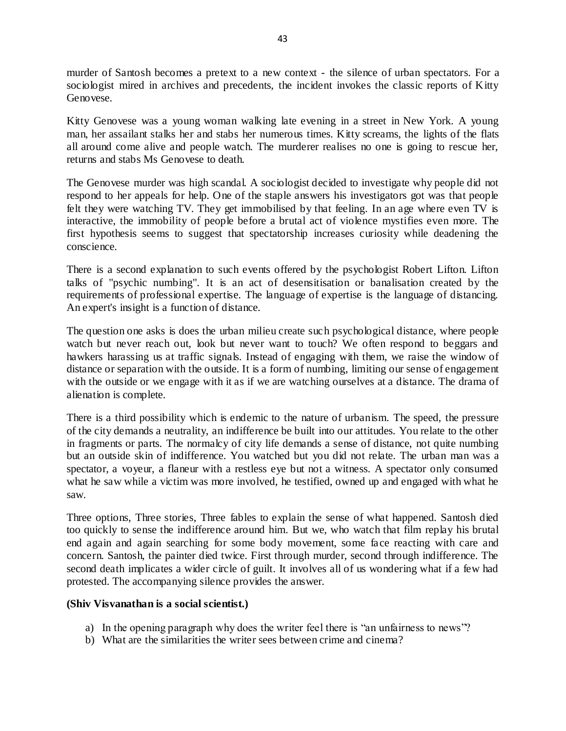murder of Santosh becomes a pretext to a new context - the silence of urban spectators. For a sociologist mired in archives and precedents, the incident invokes the classic reports of Kitty Genovese.

Kitty Genovese was a young woman walking late evening in a street in New York. A young man, her assailant stalks her and stabs her numerous times. Kitty screams, the lights of the flats all around come alive and people watch. The murderer realises no one is going to rescue her, returns and stabs Ms Genovese to death.

The Genovese murder was high scandal. A sociologist decided to investigate why people did not respond to her appeals for help. One of the staple answers his investigators got was that people felt they were watching TV. They get immobilised by that feeling. In an age where even TV is interactive, the immobility of people before a brutal act of violence mystifies even more. The first hypothesis seems to suggest that spectatorship increases curiosity while deadening the conscience.

There is a second explanation to such events offered by the psychologist Robert Lifton. Lifton talks of "psychic numbing". It is an act of desensitisation or banalisation created by the requirements of professional expertise. The language of expertise is the language of distancing. An expert's insight is a function of distance.

The question one asks is does the urban milieu create such psychological distance, where people watch but never reach out, look but never want to touch? We often respond to beggars and hawkers harassing us at traffic signals. Instead of engaging with them, we raise the window of distance or separation with the outside. It is a form of numbing, limiting our sense of engagement with the outside or we engage with it as if we are watching ourselves at a distance. The drama of alienation is complete.

There is a third possibility which is endemic to the nature of urbanism. The speed, the pressure of the city demands a neutrality, an indifference be built into our attitudes. You relate to the other in fragments or parts. The normalcy of city life demands a sense of distance, not quite numbing but an outside skin of indifference. You watched but you did not relate. The urban man was a spectator, a voyeur, a flaneur with a restless eye but not a witness. A spectator only consumed what he saw while a victim was more involved, he testified, owned up and engaged with what he saw.

Three options, Three stories, Three fables to explain the sense of what happened. Santosh died too quickly to sense the indifference around him. But we, who watch that film replay his brutal end again and again searching for some body movement, some face reacting with care and concern. Santosh, the painter died twice. First through murder, second through indifference. The second death implicates a wider circle of guilt. It involves all of us wondering what if a few had protested. The accompanying silence provides the answer.

### **(Shiv Visvanathan is a social scientist.)**

- a) In the opening paragraph why does the writer feel there is "an unfairness to news"?
- b) What are the similarities the writer sees between crime and cinema?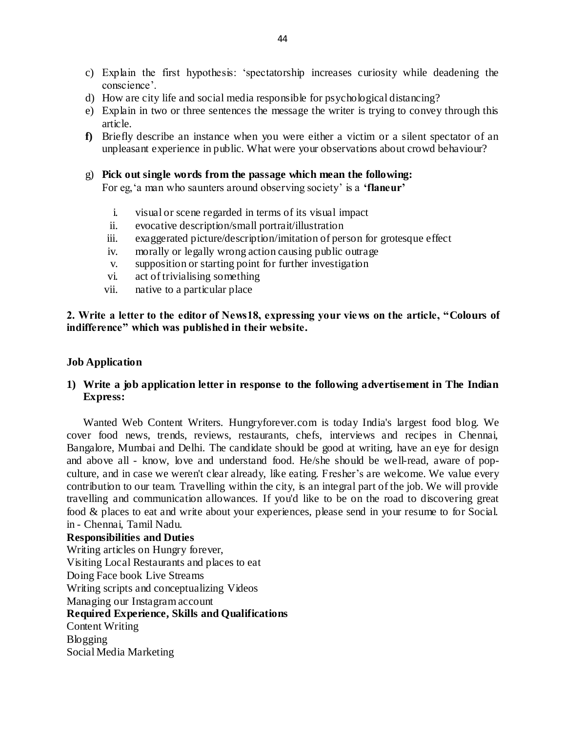- c) Explain the first hypothesis: 'spectatorship increases curiosity while deadening the conscience'.
- d) How are city life and social media responsible for psychological distancing?
- e) Explain in two or three sentences the message the writer is trying to convey through this article.
- **f)** Briefly describe an instance when you were either a victim or a silent spectator of an unpleasant experience in public. What were your observations about crowd behaviour?
- g) **Pick out single words from the passage which mean the following:**

For eg,'a man who saunters around observing society' is a **'flaneur'**

- i. visual or scene regarded in terms of its visual impact
- ii. evocative description/small portrait/illustration
- iii. exaggerated picture/description/imitation of person for grotesque effect
- iv. morally or legally wrong action causing public outrage
- v. supposition or starting point for further investigation
- vi. act of trivialising something
- vii. native to a particular place

### **2. Write a letter to the editor of News18, expressing your views on the article, "Colours of indifference" which was published in their website.**

#### **Job Application**

## **1) Write a job application letter in response to the following advertisement in The Indian Express:**

Wanted Web Content Writers. Hungryforever.com is today India's largest food blog. We cover food news, trends, reviews, restaurants, chefs, interviews and recipes in Chennai, Bangalore, Mumbai and Delhi. The candidate should be good at writing, have an eye for design and above all - know, love and understand food. He/she should be well-read, aware of popculture, and in case we weren't clear already, like eating. Fresher's are welcome. We value every contribution to our team. Travelling within the city, is an integral part of the job. We will provide travelling and communication allowances. If you'd like to be on the road to discovering great food & places to eat and write about your experiences, please send in your resume to for Social. in - Chennai, Tamil Nadu.

**Responsibilities and Duties** Writing articles on Hungry forever, Visiting Local Restaurants and places to eat Doing Face book Live Streams Writing scripts and conceptualizing Videos Managing our Instagram account **Required Experience, Skills and Qualifications** Content Writing Blogging Social Media Marketing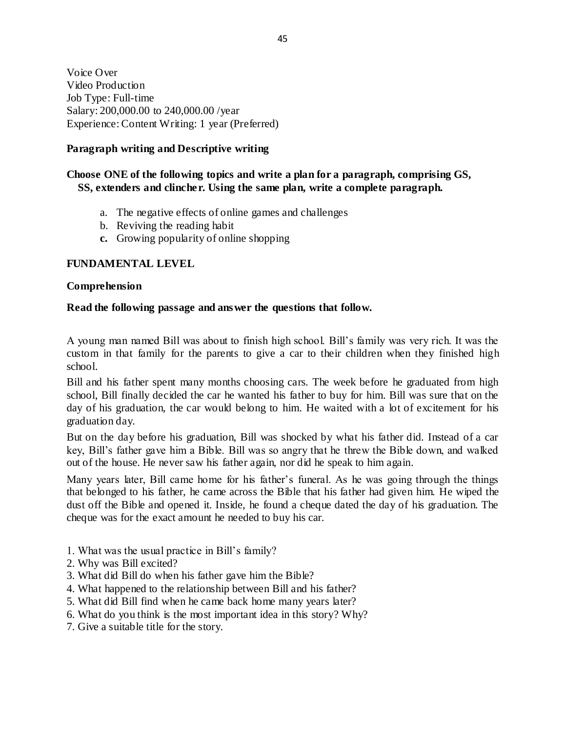Voice Over Video Production Job Type: Full-time Salary: 200,000.00 to 240,000.00 /year Experience: Content Writing: 1 year (Preferred)

# **Paragraph writing and Descriptive writing**

## **Choose ONE of the following topics and write a plan for a paragraph, comprising GS, SS, extenders and clincher. Using the same plan, write a complete paragraph.**

- a. The negative effects of online games and challenges
- b. Reviving the reading habit
- **c.** Growing popularity of online shopping

## **FUNDAMENTAL LEVEL**

### **Comprehension**

### **Read the following passage and answer the questions that follow.**

A young man named Bill was about to finish high school. Bill's family was very rich. It was the custom in that family for the parents to give a car to their children when they finished high school.

Bill and his father spent many months choosing cars. The week before he graduated from high school, Bill finally decided the car he wanted his father to buy for him. Bill was sure that on the day of his graduation, the car would belong to him. He waited with a lot of excitement for his graduation day.

But on the day before his graduation, Bill was shocked by what his father did. Instead of a car key, Bill's father gave him a Bible. Bill was so angry that he threw the Bible down, and walked out of the house. He never saw his father again, nor did he speak to him again.

Many years later, Bill came home for his father's funeral. As he was going through the things that belonged to his father, he came across the Bible that his father had given him. He wiped the dust off the Bible and opened it. Inside, he found a cheque dated the day of his graduation. The cheque was for the exact amount he needed to buy his car.

- 1. What was the usual practice in Bill's family?
- 2. Why was Bill excited?
- 3. What did Bill do when his father gave him the Bible?
- 4. What happened to the relationship between Bill and his father?
- 5. What did Bill find when he came back home many years later?
- 6. What do you think is the most important idea in this story? Why?
- 7. Give a suitable title for the story.